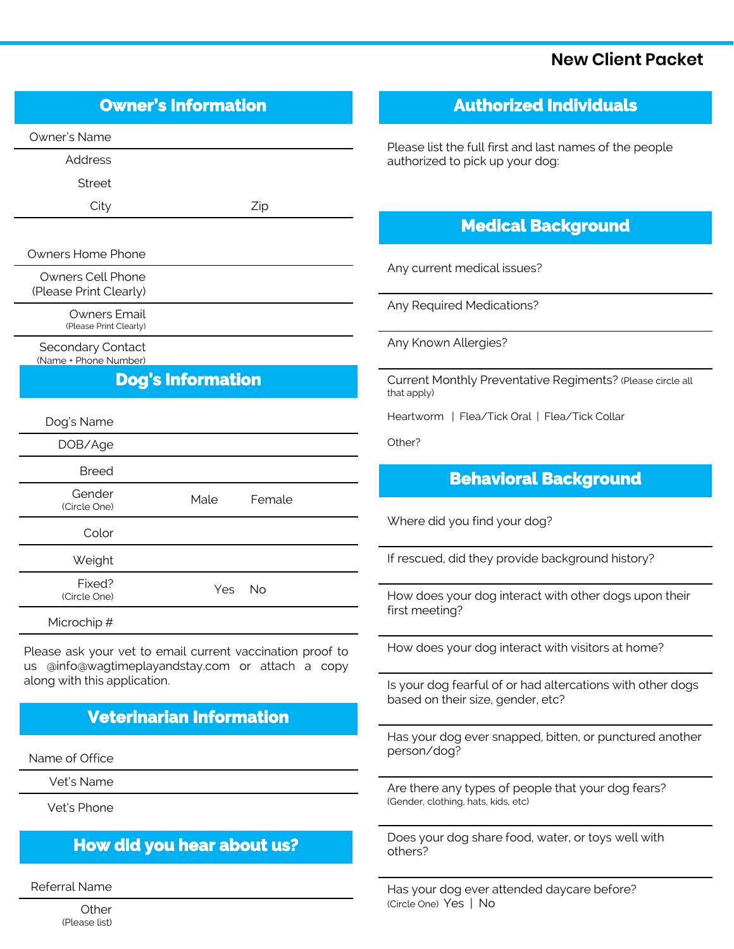#### **New Client Packet**

### **Owner's Information**

Owner's Name

Address

Street

City Zip

Owners Home Phone

Owners Cell Phone (Please Print Clearly)

Owners Email

(Please Print Clearly)

Secondary Contact (Name + Phone Number)

# **Dog's Information**

| Dog's Name             |            |        |
|------------------------|------------|--------|
| DOB/Age                |            |        |
| <b>Breed</b>           |            |        |
| Gender<br>(Circle One) | Male       | Female |
| Color                  |            |        |
| Weight                 |            |        |
| Fixed?<br>(Circle One) | <b>Yes</b> | No     |

Microchip #

Please ask your vet to email current vaccination proof to us @info@wagtimeplayandstay.com or attach a copy along with this application.

# **Veterinarian Information**

Name of Office

Vet's Name

Vet's Phone

### **How did you hear about us?**

Referral Name

**Other** (Please list)

#### **Authorized Individuals**

Please list the full first and last names of the people authorized to pick up your dog:

#### **Medical Background**

Any current medical issues?

Any Required Medications?

Any Known Allergies?

Current Monthly Preventative Regiments? (Please circle all that apply)

Heartworm | Flea/Tick Oral | Flea/Tick Collar

Other?

# **Behavioral Background**

Where did you find your dog?

If rescued, did they provide background history?

How does your dog interact with other dogs upon their first meeting?

How does your dog interact with visitors at home?

Is your dog fearful of or had altercations with other dogs based on their size, gender, etc?

Has your dog ever snapped, bitten, or punctured another person/dog?

Are there any types of people that your dog fears? (Gender, clothing, hats, kids, etc)

Does your dog share food, water, or toys well with others?

Has your dog ever attended daycare before? (Circle One) Yes | No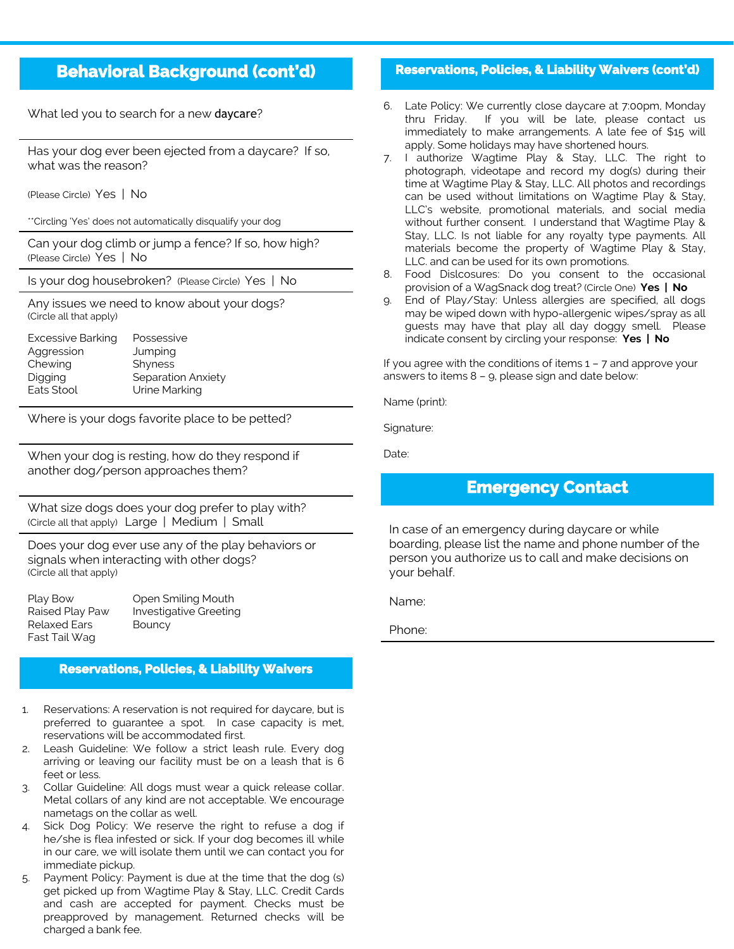# **Behavioral Background (cont'd)**

What led you to search for a new daycare?

Has your dog ever been ejected from a daycare? If so, what was the reason?

(Please Circle) Yes | No

\*\*Circling 'Yes' does not automatically disqualify your dog

Can your dog climb or jump a fence? If so, how high? (Please Circle) Yes | No

Is your dog housebroken? (Please Circle) Yes | No

Any issues we need to know about your dogs? (Circle all that apply)

| <b>Excessive Barking</b> | Possessive         |
|--------------------------|--------------------|
| Aggression               | Jumping            |
| Chewing                  | Shyness            |
| Digging                  | Separation Anxiety |
| Eats Stool               | Urine Marking      |

Where is your dogs favorite place to be petted?

When your dog is resting, how do they respond if another dog/person approaches them?

What size dogs does your dog prefer to play with? (Circle all that apply) Large | Medium | Small

Does your dog ever use any of the play behaviors or signals when interacting with other dogs? (Circle all that apply)

| Play Bow            | Ope         |
|---------------------|-------------|
| Raised Play Paw     | <i>Inve</i> |
| <b>Relaxed Ears</b> | Bour        |
| Fast Tail Wag       |             |

n Smiling Mouth stigative Greeting ncy

#### **Reservations, Policies, & Liability Waivers**

- 1. Reservations: A reservation is not required for daycare, but is preferred to guarantee a spot. In case capacity is met, reservations will be accommodated first.
- 2. Leash Guideline: We follow a strict leash rule. Every dog arriving or leaving our facility must be on a leash that is 6 feet or less.
- 3. Collar Guideline: All dogs must wear a quick release collar. Metal collars of any kind are not acceptable. We encourage nametags on the collar as well.
- 4. Sick Dog Policy: We reserve the right to refuse a dog if he/she is flea infested or sick. If your dog becomes ill while in our care, we will isolate them until we can contact you for immediate pickup.
- 5. Payment Policy: Payment is due at the time that the dog (s) get picked up from Wagtime Play & Stay, LLC. Credit Cards and cash are accepted for payment. Checks must be preapproved by management. Returned checks will be charged a bank fee.

#### **Reservations, Policies, & Liability Waivers (cont'd)**

- 6. Late Policy: We currently close daycare at 7:00pm, Monday thru Friday. If you will be late, please contact us immediately to make arrangements. A late fee of \$15 will apply. Some holidays may have shortened hours.
- 7. I authorize Wagtime Play & Stay, LLC. The right to photograph, videotape and record my dog(s) during their time at Wagtime Play & Stay, LLC. All photos and recordings can be used without limitations on Wagtime Play & Stay, LLC's website, promotional materials, and social media without further consent. I understand that Wagtime Play & Stay, LLC. Is not liable for any royalty type payments. All materials become the property of Wagtime Play & Stay, LLC. and can be used for its own promotions.
- 8. Food Dislcosures: Do you consent to the occasional provision of a WagSnack dog treat? (Circle One) **Yes | No**
- 9. End of Play/Stay: Unless allergies are specified, all dogs may be wiped down with hypo-allergenic wipes/spray as all guests may have that play all day doggy smell. Please indicate consent by circling your response: **Yes | No**

If you agree with the conditions of items 1 – 7 and approve your answers to items 8 – 9, please sign and date below:

Name (print):

Signature:

Date:

#### **Emergency Contact**

In case of an emergency during daycare or while boarding, please list the name and phone number of the person you authorize us to call and make decisions on your behalf.

Name:

Phone: